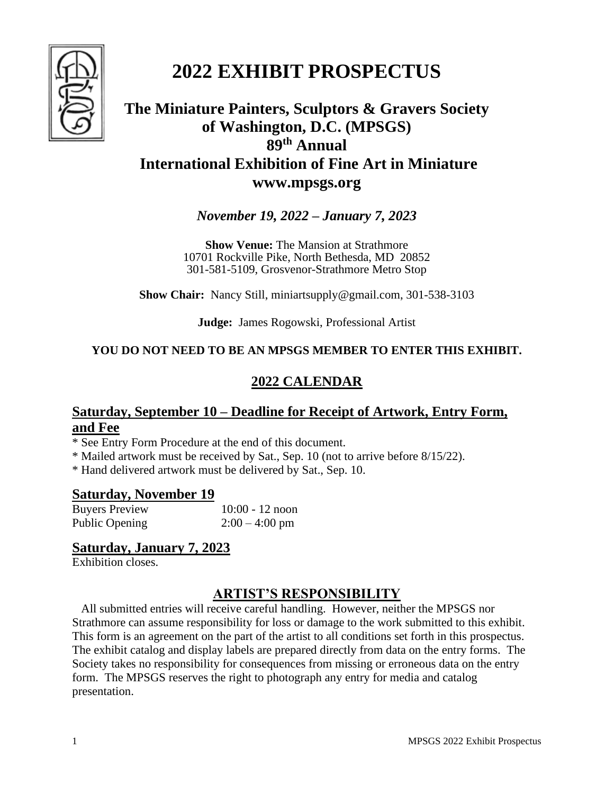

# **2022 EXHIBIT PROSPECTUS**

# **The Miniature Painters, Sculptors & Gravers Society of Washington, D.C. (MPSGS) 89 th Annual International Exhibition of Fine Art in Miniature www.mpsgs.org**

*November 19, 2022 – January 7, 2023*

**Show Venue:** The Mansion at Strathmore 10701 Rockville Pike, North Bethesda, MD 20852 301-581-5109, Grosvenor-Strathmore Metro Stop

**Show Chair:** Nancy Still, miniartsupply@gmail.com, 301-538-3103

**Judge:** James Rogowski, Professional Artist

#### **YOU DO NOT NEED TO BE AN MPSGS MEMBER TO ENTER THIS EXHIBIT.**

## **2022 CALENDAR**

## **Saturday, September 10 – Deadline for Receipt of Artwork, Entry Form, and Fee**

\* See Entry Form Procedure at the end of this document.

\* Mailed artwork must be received by Sat., Sep. 10 (not to arrive before 8/15/22).

\* Hand delivered artwork must be delivered by Sat., Sep. 10.

#### **Saturday, November 19**

Buyers Preview 10:00 - 12 noon Public Opening 2:00 – 4:00 pm

## **Saturday, January 7, 2023**

Exhibition closes.

## **ARTIST'S RESPONSIBILITY**

All submitted entries will receive careful handling. However, neither the MPSGS nor Strathmore can assume responsibility for loss or damage to the work submitted to this exhibit. This form is an agreement on the part of the artist to all conditions set forth in this prospectus. The exhibit catalog and display labels are prepared directly from data on the entry forms. The Society takes no responsibility for consequences from missing or erroneous data on the entry form. The MPSGS reserves the right to photograph any entry for media and catalog presentation.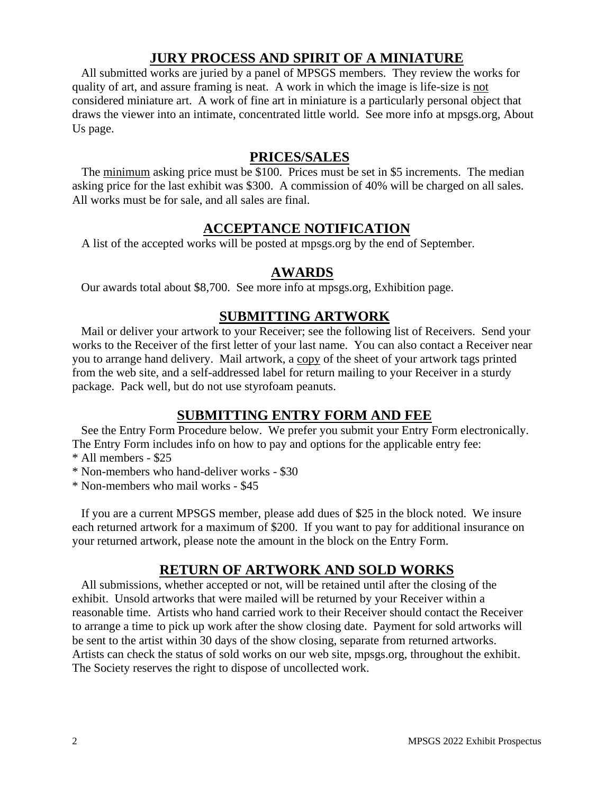#### **JURY PROCESS AND SPIRIT OF A MINIATURE**

All submitted works are juried by a panel of MPSGS members. They review the works for quality of art, and assure framing is neat. A work in which the image is life-size is not considered miniature art. A work of fine art in miniature is a particularly personal object that draws the viewer into an intimate, concentrated little world. See more info at mpsgs.org, About Us page.

#### **PRICES/SALES**

The minimum asking price must be \$100. Prices must be set in \$5 increments. The median asking price for the last exhibit was \$300. A commission of 40% will be charged on all sales. All works must be for sale, and all sales are final.

#### **ACCEPTANCE NOTIFICATION**

A list of the accepted works will be posted at mpsgs.org by the end of September.

#### **AWARDS**

Our awards total about \$8,700. See more info at mpsgs.org, Exhibition page.

#### **SUBMITTING ARTWORK**

Mail or deliver your artwork to your Receiver; see the following list of Receivers. Send your works to the Receiver of the first letter of your last name. You can also contact a Receiver near you to arrange hand delivery. Mail artwork, a copy of the sheet of your artwork tags printed from the web site, and a self-addressed label for return mailing to your Receiver in a sturdy package. Pack well, but do not use styrofoam peanuts.

## **SUBMITTING ENTRY FORM AND FEE**

See the Entry Form Procedure below. We prefer you submit your Entry Form electronically. The Entry Form includes info on how to pay and options for the applicable entry fee:

\* All members - \$25

\* Non-members who hand-deliver works - \$30

\* Non-members who mail works - \$45

If you are a current MPSGS member, please add dues of \$25 in the block noted. We insure each returned artwork for a maximum of \$200. If you want to pay for additional insurance on your returned artwork, please note the amount in the block on the Entry Form.

## **RETURN OF ARTWORK AND SOLD WORKS**

All submissions, whether accepted or not, will be retained until after the closing of the exhibit. Unsold artworks that were mailed will be returned by your Receiver within a reasonable time. Artists who hand carried work to their Receiver should contact the Receiver to arrange a time to pick up work after the show closing date. Payment for sold artworks will be sent to the artist within 30 days of the show closing, separate from returned artworks. Artists can check the status of sold works on our web site, mpsgs.org, throughout the exhibit. The Society reserves the right to dispose of uncollected work.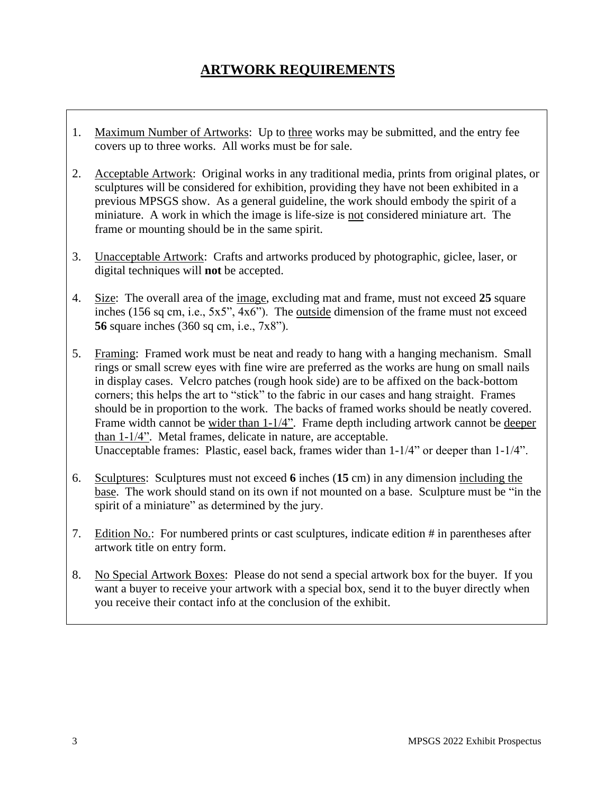# **ARTWORK REQUIREMENTS**

- 1. Maximum Number of Artworks: Up to three works may be submitted, and the entry fee covers up to three works. All works must be for sale.
- 2. Acceptable Artwork: Original works in any traditional media, prints from original plates, or sculptures will be considered for exhibition, providing they have not been exhibited in a previous MPSGS show. As a general guideline, the work should embody the spirit of a miniature. A work in which the image is life-size is not considered miniature art. The frame or mounting should be in the same spirit.
- 3. Unacceptable Artwork: Crafts and artworks produced by photographic, giclee, laser, or digital techniques will **not** be accepted.
- 4. Size: The overall area of the image, excluding mat and frame, must not exceed **25** square inches (156 sq cm, i.e., 5x5", 4x6"). The outside dimension of the frame must not exceed **56** square inches (360 sq cm, i.e., 7x8").
- 5. Framing: Framed work must be neat and ready to hang with a hanging mechanism. Small rings or small screw eyes with fine wire are preferred as the works are hung on small nails in display cases. Velcro patches (rough hook side) are to be affixed on the back-bottom corners; this helps the art to "stick" to the fabric in our cases and hang straight. Frames should be in proportion to the work. The backs of framed works should be neatly covered. Frame width cannot be wider than 1-1/4". Frame depth including artwork cannot be deeper than 1-1/4". Metal frames, delicate in nature, are acceptable. Unacceptable frames: Plastic, easel back, frames wider than 1-1/4" or deeper than 1-1/4".
- 6. Sculptures: Sculptures must not exceed **6** inches (**15** cm) in any dimension including the base. The work should stand on its own if not mounted on a base. Sculpture must be "in the spirit of a miniature" as determined by the jury.
- 7. Edition No.: For numbered prints or cast sculptures, indicate edition # in parentheses after artwork title on entry form.
- 8. No Special Artwork Boxes: Please do not send a special artwork box for the buyer. If you want a buyer to receive your artwork with a special box, send it to the buyer directly when you receive their contact info at the conclusion of the exhibit.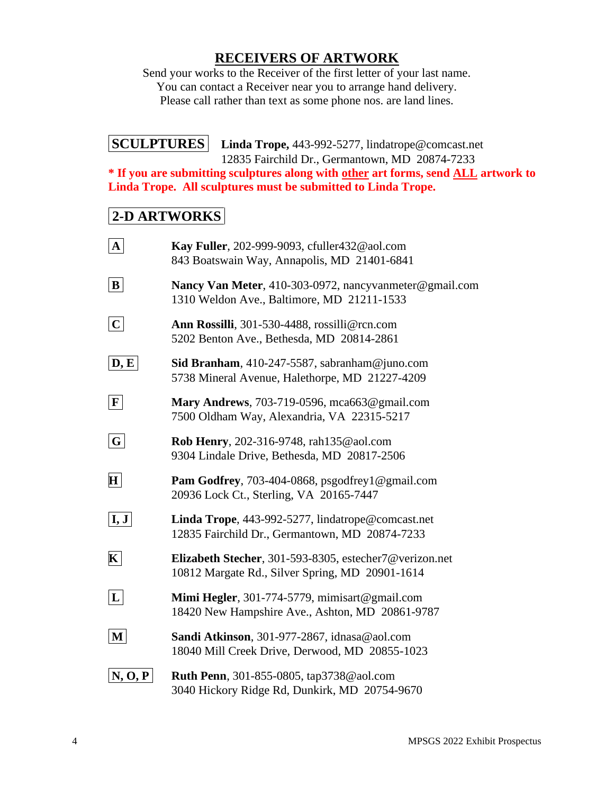## **RECEIVERS OF ARTWORK**

Send your works to the Receiver of the first letter of your last name. You can contact a Receiver near you to arrange hand delivery. Please call rather than text as some phone nos. are land lines.

#### **SCULPTURES Linda Trope,** 443-992-5277, lindatrope@comcast.net 12835 Fairchild Dr., Germantown, MD 20874-7233

**\* If you are submitting sculptures along with other art forms, send ALL artwork to Linda Trope. All sculptures must be submitted to Linda Trope.** 

## **2-D ARTWORKS**

| ${\bf A}$                  | Kay Fuller, 202-999-9093, cfuller432@aol.com<br>843 Boatswain Way, Annapolis, MD 21401-6841               |
|----------------------------|-----------------------------------------------------------------------------------------------------------|
| $\vert$ B                  | Nancy Van Meter, 410-303-0972, nancyvanmeter@gmail.com<br>1310 Weldon Ave., Baltimore, MD 21211-1533      |
| $\mathbf C$                | Ann Rossilli, 301-530-4488, rossilli@rcn.com<br>5202 Benton Ave., Bethesda, MD 20814-2861                 |
| $ \mathbf{D}, \mathbf{E} $ | Sid Branham, 410-247-5587, sabranham@juno.com<br>5738 Mineral Avenue, Halethorpe, MD 21227-4209           |
| F                          | Mary Andrews, 703-719-0596, mca663@gmail.com<br>7500 Oldham Way, Alexandria, VA 22315-5217                |
| G                          | Rob Henry, 202-316-9748, rah135@aol.com<br>9304 Lindale Drive, Bethesda, MD 20817-2506                    |
| $\mathbf{H}$               | Pam Godfrey, 703-404-0868, psgodfrey1@gmail.com<br>20936 Lock Ct., Sterling, VA 20165-7447                |
| $\mathbf{I}, \mathbf{J}$   | Linda Trope, 443-992-5277, lindatrope@comcast.net<br>12835 Fairchild Dr., Germantown, MD 20874-7233       |
| $\mathbf{K}$               | Elizabeth Stecher, 301-593-8305, estecher7@verizon.net<br>10812 Margate Rd., Silver Spring, MD 20901-1614 |
| L                          | Mimi Hegler, 301-774-5779, mimisart@gmail.com<br>18420 New Hampshire Ave., Ashton, MD 20861-9787          |
| M                          | Sandi Atkinson, 301-977-2867, idnasa@aol.com<br>18040 Mill Creek Drive, Derwood, MD 20855-1023            |
| N, O, P                    | Ruth Penn, 301-855-0805, tap3738@aol.com<br>3040 Hickory Ridge Rd, Dunkirk, MD 20754-9670                 |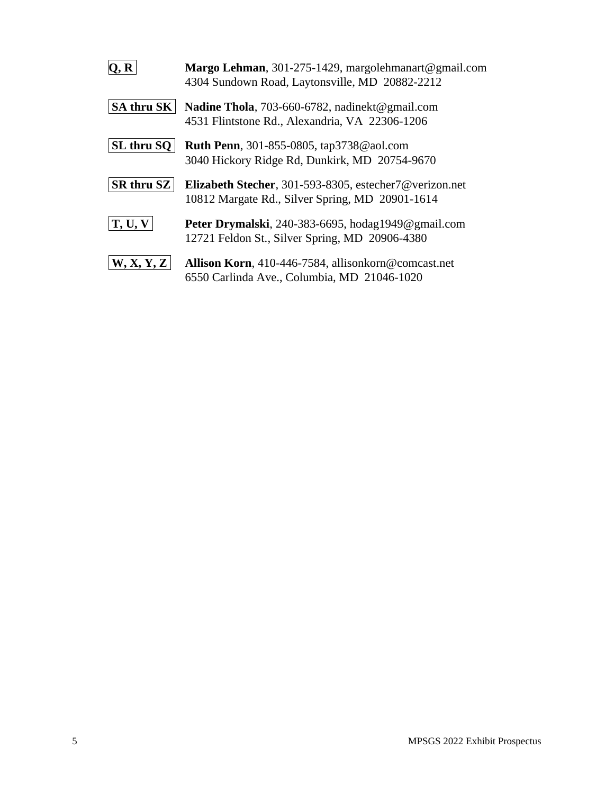| 0. R              | Margo Lehman, 301-275-1429, margolehmanart@gmail.com<br>4304 Sundown Road, Laytonsville, MD 20882-2212    |
|-------------------|-----------------------------------------------------------------------------------------------------------|
| <b>SA thru SK</b> | Nadine Thola, 703-660-6782, nadinekt@gmail.com<br>4531 Flintstone Rd., Alexandria, VA 22306-1206          |
| SL thru SQ        | <b>Ruth Penn</b> , 301-855-0805, tap3738@aol.com<br>3040 Hickory Ridge Rd, Dunkirk, MD 20754-9670         |
| <b>SR thru SZ</b> | Elizabeth Stecher, 301-593-8305, estecher7@verizon.net<br>10812 Margate Rd., Silver Spring, MD 20901-1614 |
| T, U, V           | Peter Drymalski, 240-383-6695, hodag1949@gmail.com<br>12721 Feldon St., Silver Spring, MD 20906-4380      |
| W, X, Y, Z        | Allison Korn, 410-446-7584, allisonkorn@comcast.net<br>6550 Carlinda Ave., Columbia, MD 21046-1020        |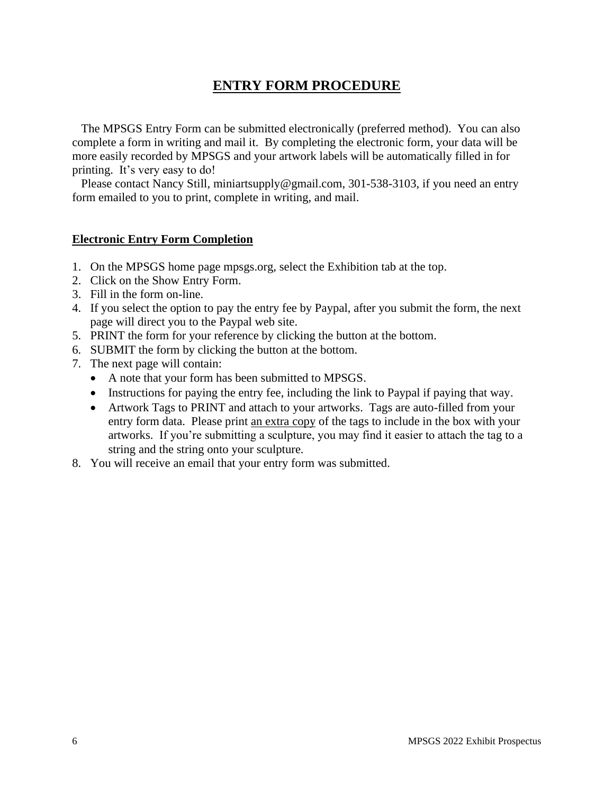## **ENTRY FORM PROCEDURE**

 The MPSGS Entry Form can be submitted electronically (preferred method). You can also complete a form in writing and mail it. By completing the electronic form, your data will be more easily recorded by MPSGS and your artwork labels will be automatically filled in for printing. It's very easy to do!

Please contact Nancy Still, miniartsupply@gmail.com, 301-538-3103, if you need an entry form emailed to you to print, complete in writing, and mail.

#### **Electronic Entry Form Completion**

- 1. On the MPSGS home page mpsgs.org, select the Exhibition tab at the top.
- 2. Click on the Show Entry Form.
- 3. Fill in the form on-line.
- 4. If you select the option to pay the entry fee by Paypal, after you submit the form, the next page will direct you to the Paypal web site.
- 5. PRINT the form for your reference by clicking the button at the bottom.
- 6. SUBMIT the form by clicking the button at the bottom.
- 7. The next page will contain:
	- A note that your form has been submitted to MPSGS.
	- Instructions for paying the entry fee, including the link to Paypal if paying that way.
	- Artwork Tags to PRINT and attach to your artworks. Tags are auto-filled from your entry form data. Please print an extra copy of the tags to include in the box with your artworks. If you're submitting a sculpture, you may find it easier to attach the tag to a string and the string onto your sculpture.
- 8. You will receive an email that your entry form was submitted.